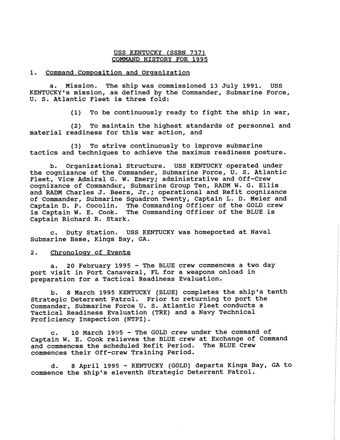## USS KENTUCKY (SSBN 737) COMMAND HISTORY FOR **1995**

## 1. Command Composition and Organization

a. Mission. The ship was commissioned **13** July **1991.** USS KENTUCKY'S mission, as defined by the Commander, Submarine Force, U. S. Atlantic Fleet is three fold:

> To be continuously ready to fight the ship in war,  $(1)$

(2) To maintain the highest standards of personnel and material readiness for this war action, and

**(3)** To strive continuously to improve submarine tactics and techniques to achieve the maximum readiness posture.

b. Organizational Structure. USS KENTUCKY operated under the cognizance of the Commander, Submarine Force, U. S. Atlantic Fleet, Vice Admiral G, W. Emery; administrative and Off-Crew cognizance of Commander, Submarine Group Ten, RADM W. G. Ellis and RADM Charles J. Beers, Jr.; operational and Refit cognizance of Commander, Submarine Squadron Twenty, Captain L. D. Meier and Captain D. P. Cocolin. The Commanding Officer of the GOLD crew is Captain W. E. Cook. The Commanding Officer of the BLUE is Captain Richard R. Stark.

c. Duty Station. USS KENTUCKY was homeported at Naval Submarine Base, Kings Bay, GA.

## 2. Chronoloav of Events

a. **20** February **1995** - The BLUE crew commences a two day port visit in Port Canaveral, FL for a weapons onload in preparation for a Tactical Readiness Evaluation.

b. 8 March **1995** KENTUCKY (BLUE) completes the ship's tenth Strategic Deterrent Patrol. Prior to returning to port the Commander, Submarine Force U. S. Atlantic Fleet conducts a Tactical Readiness Evaluation (TRE) and a Navy Technical Proficiency Inspection (NTPI).

c. **10** March **1935** - The GOLD crew under the command of Captain W. E. Cook relieves the BLUE crew at Exchange of Command and commences the scheduled Refit Period. The BLUE Crew and commences the scheduled Refit Period. commences their Off-crew Training Period.

d. 8 April **1995** - KENTUCKY (GOLD) departs Kings Bay, GA to commence the ship's eleventh Strategic Deterrent Patrol.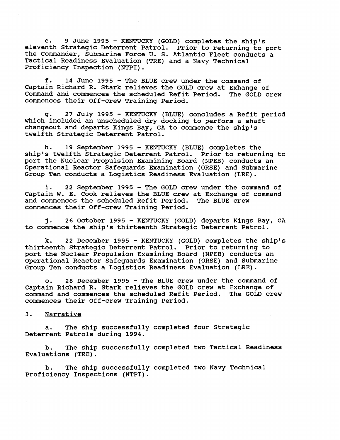e. **9** June **1995** - KENTUCKY (GOLD) completes the ship's eleventh Strategic Deterrent Patrol. Prior to returning to port the Commander, Submarine Force U. S. Atlantic Fleet conducts a Tactical Readiness Evaluation (TRE) and a Navy Technical Proficiency Inspection (NTPI) .

f. **14** June **1995** - The BLUE crew under the command of Captain Richard R. Stark relieves the GOLD crew at Exhange of Command and commences the scheduled Refit Period. The GOLD crew commences their Off-crew Training Period.

g. **27** July **1995** - KENTUCKY (BLUE) concludes a Refit period which included an unscheduled dry docking to perform a shaft changeout and departs Kings Bay, GA to commence the ship's twelfth Strategic Deterrent Patrol.

h. **19** September **1995** - KENTUCKY (BLUE) completes the ship's twelfth Strategic Deterrent Patrol. Prior to returning to port the Nuclear Propulsion Examining Board (NPEB) conducts an Operational Reactor Safeguards Examination (ORSE) and Submarine Group Ten conducts a Logistics Readiness Evaluation (LRE).

i. **22** September **1995** - The GOLD crew under the command of Captain W. E. Cook relieves the BLUE crew at Exchange of command and commences the scheduled Refit Period. The BLUE crew commences their Off-crew Training Period.

**j. 26** October **1995** - KENTUCKY (GOLD) departs Kings Bay, GA to commence the ship's thirteenth Strategic Deterrent Patrol.

k. 22 December **1995** - KENTUCKY (GOLD) completes the ship's thirteenth Strategic Deterrent Patrol. Prior to returning to port the Nuclear Propulsion Examining Board (NPEB) conducts an Operational Reactor Safecjuards Examination (ORSE) and Submarine Group Ten conducts a Logistics Readiness Evaluation (LRE).

ow **28** December **1995** - The BLUE crew under the command of Captain Richard R. Stark relieves the GOLD crew at Exchange of command and commences the scheduled Refit Period. The GOLD crew commences their Off-crew Training Period.

## 3. Narrative

a. The ship successfully completed four Strategic Deterrent Patrols during **1994.** 

b. The ship successfully completed two Tactical Readiness Evaluations (TRE) .

b. The ship successfully completed two Navy Technical Proficiency Inspections (NTPI).